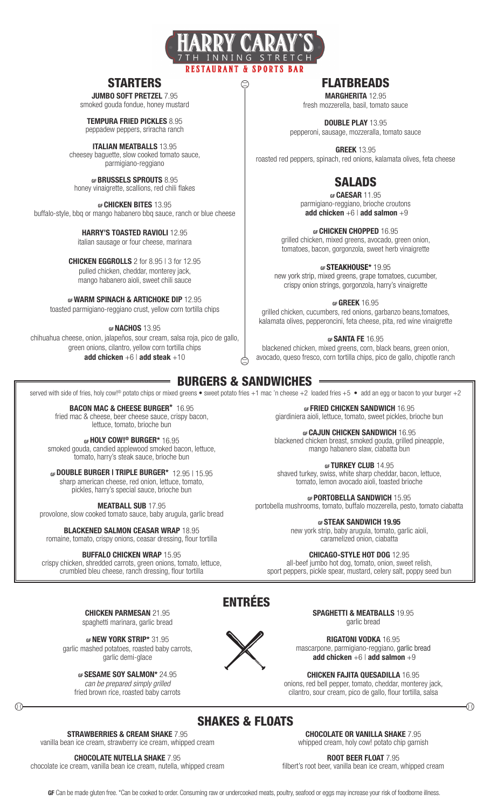

 $\large{\textcircled{\small{2}}}$ 

## STARTERS

JUMBO SOFT PRETZEL 7.95 smoked gouda fondue, honey mustard

TEMPURA FRIED PICKLES 8.95 peppadew peppers, sriracha ranch

ITALIAN MEATBALLS 13.95 cheesey baguette, slow cooked tomato sauce, parmigiano-reggiano

GF BRUSSELS SPROUTS 8.95 honey vinaigrette, scallions, red chili flakes

GF CHICKEN BITES 13.95 buffalo-style, bbq or mango habanero bbq sauce, ranch or blue cheese

#### HARRY'S TOASTED RAVIOLI 12.95 italian sausage or four cheese, marinara

CHICKEN EGGROLLS 2 for 8.95 | 3 for 12.95 pulled chicken, cheddar, monterey jack, mango habanero aioli, sweet chili sauce

GF WARM SPINACH & ARTICHOKE DIP 12.95

toasted parmigiano-reggiano crust, yellow corn tortilla chips

GF **NACHOS** 13.95

chihuahua cheese, onion, jalapeños, sour cream, salsa roja, pico de gallo, green onions, cilantro, yellow corn tortilla chips add chicken  $+6$  | add steak  $+10$ 

# **FLATBREADS**

MARGHERITA 12.95 fresh mozzerella, basil, tomato sauce

DOUBLE PLAY 13.95 pepperoni, sausage, mozzeralla, tomato sauce

**GREEK 13.95** roasted red peppers, spinach, red onions, kalamata olives, feta cheese

# SALADS

GF **CAESAR** 11.95 parmigiano-reggiano, brioche croutons add chicken  $+6$  | add salmon  $+9$ 

GF CHICKEN CHOPPED 16.95

grilled chicken, mixed greens, avocado, green onion, tomatoes, bacon, gorgonzola, sweet herb vinaigrette

GF STEAKHOUSE\* 19.95 new york strip, mixed greens, grape tomatoes, cucumber, crispy onion strings, gorgonzola, harry's vinaigrette

GF GREEK 16.95 grilled chicken, cucumbers, red onions, garbanzo beans,tomatoes, kalamata olives, pepperoncini, feta cheese, pita, red wine vinaigrette

GF **SANTA FE** 16.95 blackened chicken, mixed greens, corn, black beans, green onion, avocado, queso fresco, corn tortilla chips, pico de gallo, chipotle ranch

BURGERS & SANDWICHES

served with side of fries, holy cow!<sup>®</sup> potato chips or mixed greens • sweet potato fries +1 mac 'n cheese +2 loaded fries +5 • add an egg or bacon to your burger +2

 $\odot$ 

BACON MAC & CHEESE BURGER\* 16.95 fried mac & cheese, beer cheese sauce, crispy bacon, lettuce, tomato, brioche bun

GF HOLY COW!<sup>®</sup> BURGER\* 16.95 smoked gouda, candied applewood smoked bacon, lettuce, tomato, harry's steak sauce, brioche bun

GF DOUBLE BURGER | TRIPLE BURGER\* 12.95 | 15.95 sharp american cheese, red onion, lettuce, tomato, pickles, harry's special sauce, brioche bun

MEATBALL SUB 17.95

provolone, slow cooked tomato sauce, baby arugula, garlic bread

BLACKENED SALMON CEASAR WRAP 18.95 romaine, tomato, crispy onions, ceasar dressing, flour tortilla

### BUFFALO CHICKEN WRAP 15.95

crispy chicken, shredded carrots, green onions, tomato, lettuce, crumbled bleu cheese, ranch dressing, flour tortilla

GF FRIED CHICKEN SANDWICH 16.95 giardiniera aioli, lettuce, tomato, sweet pickles, brioche bun

GF CAJUN CHICKEN SANDWICH 16.95 blackened chicken breast, smoked gouda, grilled pineapple, mango habanero slaw, ciabatta bun

GF TURKEY CLUB 14.95 shaved turkey, swiss, white sharp cheddar, bacon, lettuce, tomato, lemon avocado aioli, toasted brioche

GF PORTOBELLA SANDWICH 15.95

portobella mushrooms, tomato, buffalo mozzerella, pesto, tomato ciabatta

GF STEAK SANDWICH 19.95

new york strip, baby arugula, tomato, garlic aioli, caramelized onion, ciabatta

CHICAGO-STYLE HOT DOG 12.95

all-beef jumbo hot dog, tomato, onion, sweet relish, sport peppers, pickle spear, mustard, celery salt, poppy seed bun

CHICKEN PARMESAN 21.95 spaghetti marinara, garlic bread

GF **NEW YORK STRIP\*** 31.95 garlic mashed potatoes, roasted baby carrots, garlic demi-glace

GF SESAME SOY SALMON\* 24.95 *can be prepared simply grilled*

fried brown rice, roasted baby carrots  $\begin{array}{ccc} \begin{array}{ccc} \textcircled{1} & \textcircled{1} & \textcircled{1} \end{array} & \begin{array}{ccc} \textcircled{1} & \textcircled{1} & \textcircled{1} \end{array} & \begin{array}{ccc} \textcircled{1} & \textcircled{1} & \textcircled{1} & \textcircled{1} \end{array} \end{array}$ 

SPAGHETTI & MEATBALLS 19.95 garlic bread

RIGATONI VODKA 16.95 mascarpone, parmigiano-reggiano, garlic bread add chicken  $+6$  | add salmon  $+9$ 

CHICKEN FAJITA QUESADILLA 16.95 onions, red bell pepper, tomato, cheddar, monterey jack,

cilantro, sour cream, pico de gallo, flour tortilla, salsa

# SHAKES & FLOATS

 $X$ 

ENTRÉES

STRAWBERRIES & CREAM SHAKE 7.95 vanilla bean ice cream, strawberry ice cream, whipped cream

CHOCOLATE NUTELLA SHAKE 7.95

chocolate ice cream, vanilla bean ice cream, nutella, whipped cream

CHOCOLATE OR VANILLA SHAKE 7.95 whipped cream, holy cow! potato chip garnish

ROOT BEER FLOAT 7.95

filbert's root beer, vanilla bean ice cream, whipped cream

GF Can be made gluten free. \*Can be cooked to order. Consuming raw or undercooked meats, poultry, seafood or eggs may increase your risk of foodborne illness.